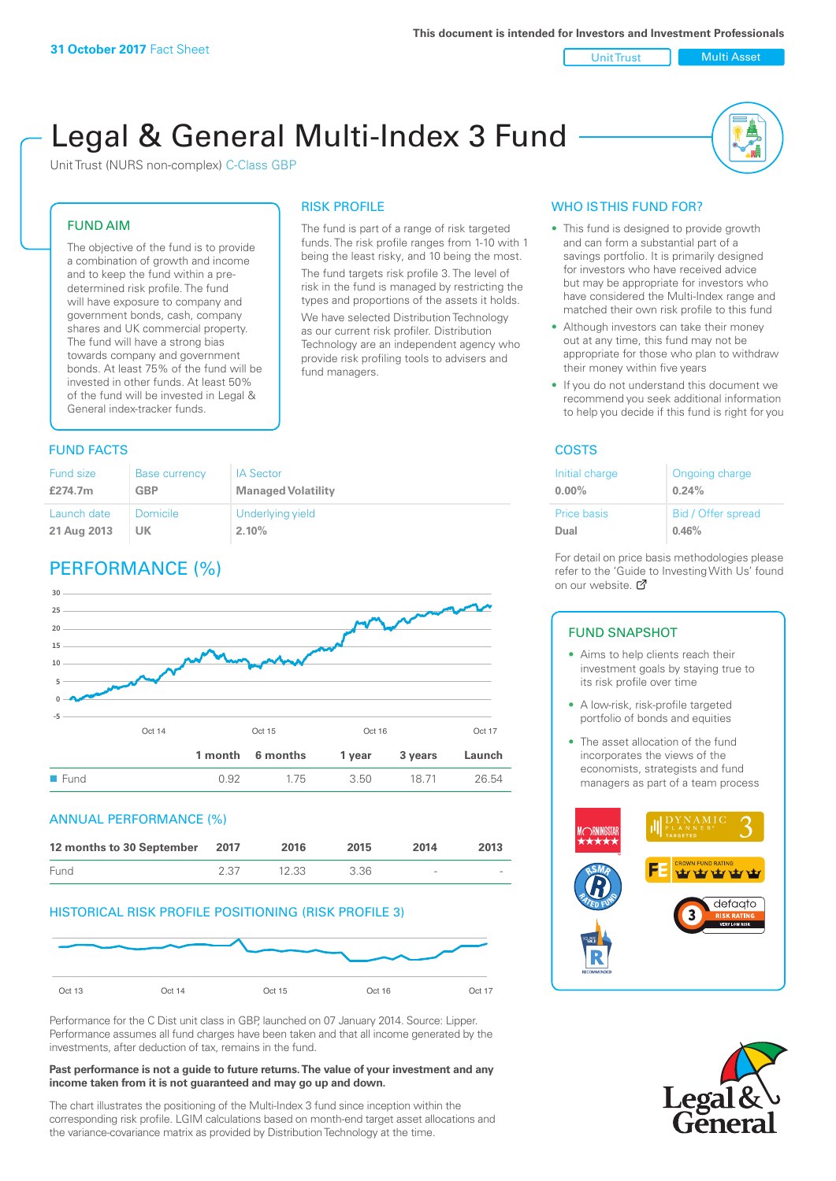## Unit Trust Nulti Asset

# Legal & General Multi-Index 3 Fund

RISK PROFILE

fund managers.

The fund is part of a range of risk targeted funds. The risk profile ranges from 1-10 with 1 being the least risky, and 10 being the most. The fund targets risk profile 3. The level of risk in the fund is managed by restricting the types and proportions of the assets it holds. We have selected Distribution Technology as our current risk profiler. Distribution Technology are an independent agency who provide risk profiling tools to advisers and

Unit Trust (NURS non-complex) C-Class GBP

## FUND AIM

The objective of the fund is to provide a combination of growth and income and to keep the fund within a predetermined risk profile. The fund will have exposure to company and government bonds, cash, company shares and UK commercial property. The fund will have a strong bias towards company and government bonds. At least 75% of the fund will be invested in other funds. At least 50% of the fund will be invested in Legal & General index-tracker funds.

## **FUND FACTS** COSTS

#### Fund size **£274.7m** Base currency **GBP** IA Sector **Managed Volatility** Launch date **21 Aug 2013** Domicile **UK** Underlying yield **2.10%**

## PERFORMANCE (%)



## ANNUAL PERFORMANCE (%)



## HISTORICAL RISK PROFILE POSITIONING (RISK PROFILE 3)



Performance for the C Dist unit class in GBP, launched on 07 January 2014. Source: Lipper. Performance assumes all fund charges have been taken and that all income generated by the investments, after deduction of tax, remains in the fund.

#### **Past performance is not a guide to future returns. The value of your investment and any income taken from it is not guaranteed and may go up and down.**

The chart illustrates the positioning of the Multi-Index 3 fund since inception within the corresponding risk profile. LGIM calculations based on month-end target asset allocations and the variance-covariance matrix as provided by Distribution Technology at the time.

## WHO IS THIS FUND FOR?

- This fund is designed to provide growth and can form a substantial part of a savings portfolio. It is primarily designed for investors who have received advice but may be appropriate for investors who have considered the Multi-Index range and matched their own risk profile to this fund
- Although investors can take their money out at any time, this fund may not be appropriate for those who plan to withdraw their money within five years
- If you do not understand this document we recommend you seek additional information to help you decide if this fund is right for you

| Initial charge     | Ongoing charge     |
|--------------------|--------------------|
| $0.00\%$           | 0.24%              |
| <b>Price basis</b> | Bid / Offer spread |
| Dual               | 0.46%              |

For detail on price basis methodologies please refer to the 'Gu[ide t](http://www.legalandgeneral.com/guide)o Investing With Us' found on our website. Ø

### FUND SNAPSHOT

- Aims to help clients reach their investment goals by staying true to its risk profile over time
- A low-risk, risk-profile targeted portfolio of bonds and equities
- The asset allocation of the fund incorporates the views of the economists, strategists and fund managers as part of a team process



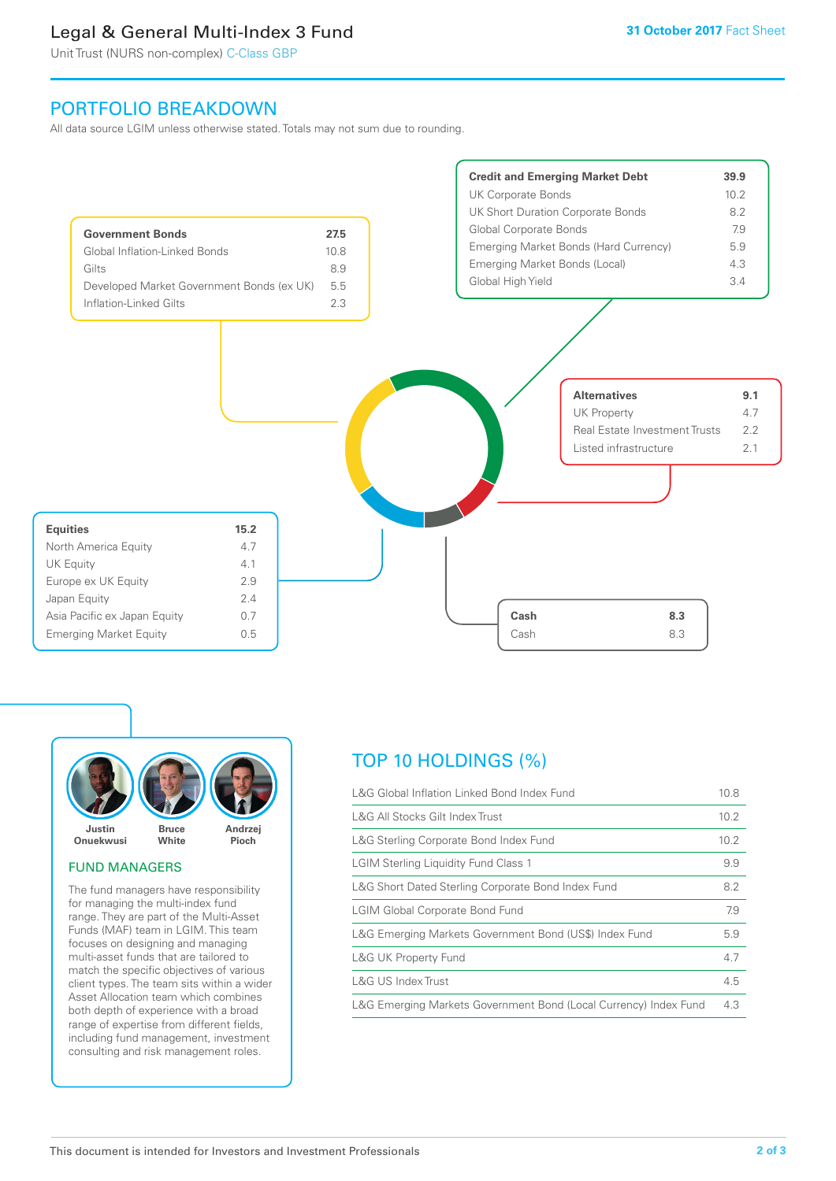## Legal & General Multi-Index 3 Fund

Unit Trust (NURS non-complex) C-Class GBP

## PORTFOLIO BREAKDOWN

All data source LGIM unless otherwise stated. Totals may not sum due to rounding.





### FUND MANAGERS

The fund managers have responsibility for managing the multi-index fund range. They are part of the Multi-Asset Funds (MAF) team in LGIM. This team focuses on designing and managing multi-asset funds that are tailored to match the specific objectives of various client types. The team sits within a wider Asset Allocation team which combines both depth of experience with a broad range of expertise from different fields, including fund management, investment consulting and risk management roles.

## TOP 10 HOLDINGS (%)

| L&G Global Inflation Linked Bond Index Fund                      | 10.8 |
|------------------------------------------------------------------|------|
| L&G All Stocks Gilt Index Trust                                  | 10.2 |
| L&G Sterling Corporate Bond Index Fund                           | 10.2 |
| <b>LGIM Sterling Liquidity Fund Class 1</b>                      | 9.9  |
| L&G Short Dated Sterling Corporate Bond Index Fund               | 8.2  |
| <b>LGIM Global Corporate Bond Fund</b>                           | 7.9  |
| L&G Emerging Markets Government Bond (US\$) Index Fund           | 5.9  |
| <b>L&amp;G UK Property Fund</b>                                  | 4.7  |
| L&G US Index Trust                                               | 4.5  |
| L&G Emerging Markets Government Bond (Local Currency) Index Fund | 4.3  |